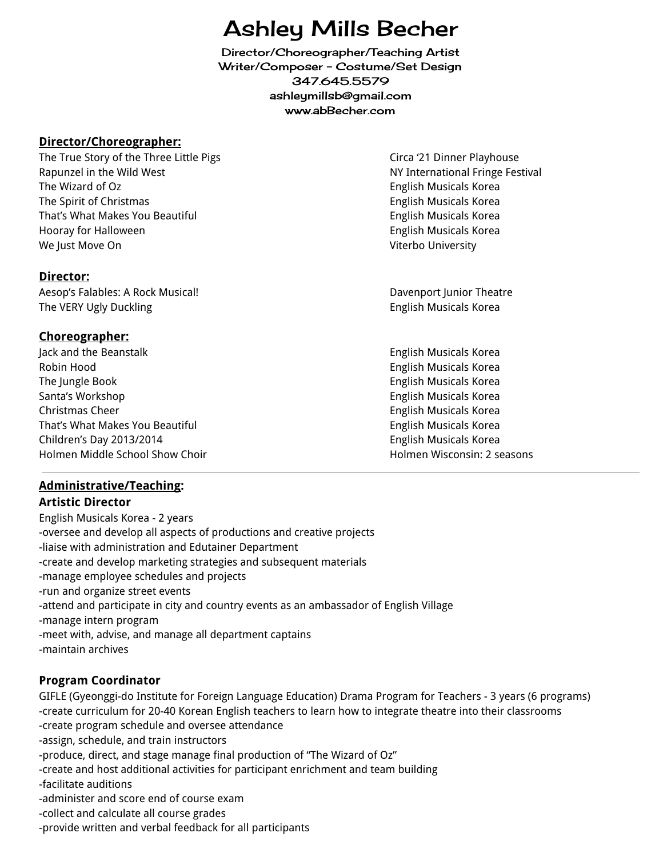# Ashley Mills Becher

Director/Choreographer/Teaching Artist Writer/Composer - Costume/Set Design 347.645.5579 ashleymillsb@gmail.com www.abBecher.com

#### **Director/Choreographer:**

The True Story of the Three Little Pigs Circa '21 Dinner Playhouse Rapunzel in the Wild West NY International Fringe Festival The Wizard of Oz **English Musicals Korea English Musicals Korea** The Spirit of Christmas **English Musicals Korea** English Musicals Korea That's What Makes You Beautiful **English Musicals Action** English Musicals Korea Hooray for Halloween **English Musicals Korea** English Musicals Korea We Just Move On Viterbo University

### **Director:**

Aesop's Falables: A Rock Musical! Davenport Junior Theatre The VERY Ugly Duckling English Musicals Korea

# **Choreographer:**

Jack and the Beanstalk English Musicals Korea Robin Hood English Musicals Korea The Jungle Book **English Musicals Korea** English Musicals Korea Santa's Workshop English Musicals Korea Christmas Cheer English Musicals Korea That's What Makes You Beautiful **English Musicals Actional English Musicals Korea** Children's Day 2013/2014 English Musicals Korea Holmen Middle School Show Choir Holmen Wisconsin: 2 seasons

# **Administrative/Teaching:**

### **Artistic Director**

English Musicals Korea - 2 years -oversee and develop all aspects of productions and creative projects -liaise with administration and Edutainer Department -create and develop marketing strategies and subsequent materials -manage employee schedules and projects -run and organize street events -attend and participate in city and country events as an ambassador of English Village -manage intern program -meet with, advise, and manage all department captains -maintain archives

### **Program Coordinator**

GIFLE (Gyeonggi-do Institute for Foreign Language Education) Drama Program for Teachers - 3 years (6 programs) -create curriculum for 20-40 Korean English teachers to learn how to integrate theatre into their classrooms -create program schedule and oversee attendance -assign, schedule, and train instructors -produce, direct, and stage manage final production of "The Wizard of Oz" -create and host additional activities for participant enrichment and team building -facilitate auditions -administer and score end of course exam

-collect and calculate all course grades

-provide written and verbal feedback for all participants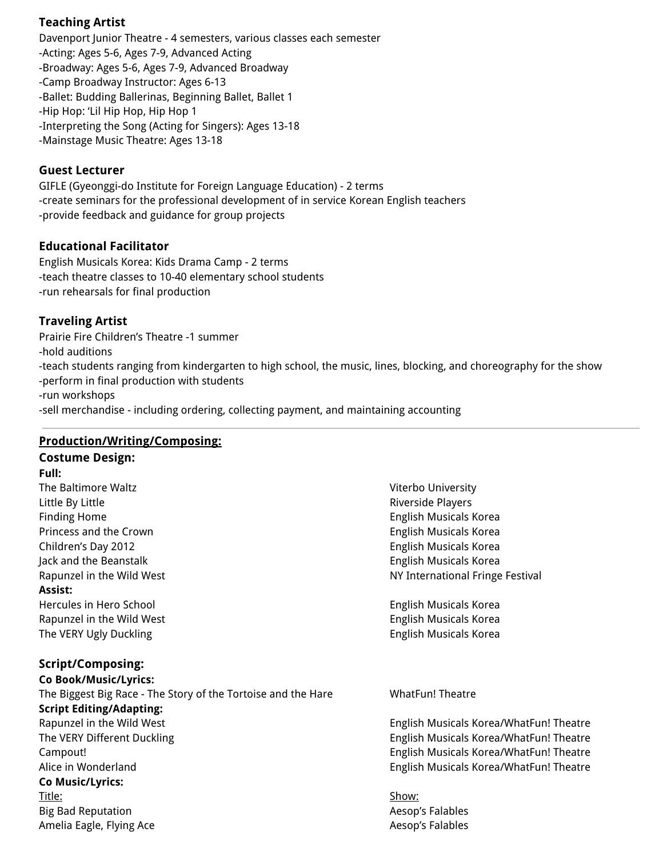# **Teaching Artist**

Davenport Junior Theatre - 4 semesters, various classes each semester -Acting: Ages 5-6, Ages 7-9, Advanced Acting -Broadway: Ages 5-6, Ages 7-9, Advanced Broadway -Camp Broadway Instructor: Ages 6-13 -Ballet: Budding Ballerinas, Beginning Ballet, Ballet 1 -Hip Hop: 'Lil Hip Hop, Hip Hop 1 -Interpreting the Song (Acting for Singers): Ages 13-18 -Mainstage Music Theatre: Ages 13-18

#### **Guest Lecturer**

GIFLE (Gyeonggi-do Institute for Foreign Language Education) - 2 terms -create seminars for the professional development of in service Korean English teachers -provide feedback and guidance for group projects

#### **Educational Facilitator**

English Musicals Korea: Kids Drama Camp - 2 terms -teach theatre classes to 10-40 elementary school students -run rehearsals for final production

# **Traveling Artist**

Prairie Fire Children's Theatre -1 summer -hold auditions -teach students ranging from kindergarten to high school, the music, lines, blocking, and choreography for the show -perform in final production with students -run workshops -sell merchandise - including ordering, collecting payment, and maintaining accounting

### **Production/Writing/Composing:**

# **Costume Design:**

**Full:**

Little By Little Riverside Players Finding Home **English Musicals Korea** English Musicals Korea Princess and the Crown **English Musicals Korea** English Musicals Korea Children's Day 2012 **English Musicals Korea** English Musicals Korea Jack and the Beanstalk English Musicals Korea **Assist:** Hercules in Hero School English Musicals Korea

Rapunzel in the Wild West **English Musicals Korea** English Musicals Korea The VERY Ugly Duckling English Musicals Korea

### **Script/Composing:**

**Co Book/Music/Lyrics:** The Biggest Big Race - The Story of the Tortoise and the Hare WhatFun! Theatre **Script Editing/Adapting:** Rapunzel in the Wild West English Musicals Korea/WhatFun! Theatre The VERY Different Duckling English Musicals Korea/WhatFun! Theatre Campout! English Musicals Korea/WhatFun! Theatre Alice in Wonderland **English Musicals Korea/WhatFun! Theatre Co Music/Lyrics:** Title: <u>Show:</u> Big Bad Reputation **Accord Accord Aesop's Falables** Aesop's Falables Amelia Eagle, Flying Ace **Aesop's Falables** Aesop's Falables

The Baltimore Waltz **Vice Community Community** Controller Manual Act of the Baltimore Waltz Rapunzel in the Wild West NY International Fringe Festival